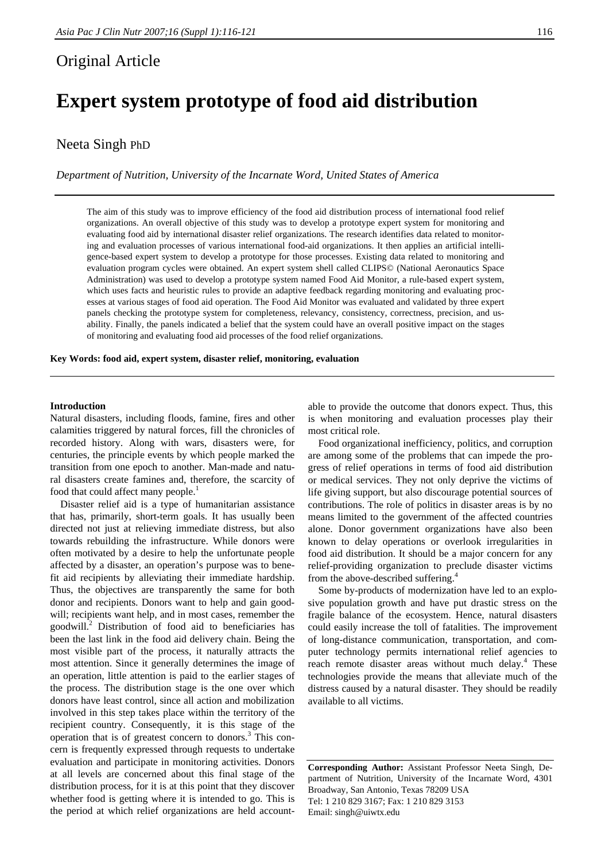# Original Article

# **Expert system prototype of food aid distribution**

# Neeta Singh PhD

*Department of Nutrition, University of the Incarnate Word, United States of America* 

The aim of this study was to improve efficiency of the food aid distribution process of international food relief organizations. An overall objective of this study was to develop a prototype expert system for monitoring and evaluating food aid by international disaster relief organizations. The research identifies data related to monitoring and evaluation processes of various international food-aid organizations. It then applies an artificial intelligence-based expert system to develop a prototype for those processes. Existing data related to monitoring and evaluation program cycles were obtained. An expert system shell called CLIPS© (National Aeronautics Space Administration) was used to develop a prototype system named Food Aid Monitor, a rule-based expert system, which uses facts and heuristic rules to provide an adaptive feedback regarding monitoring and evaluating processes at various stages of food aid operation. The Food Aid Monitor was evaluated and validated by three expert panels checking the prototype system for completeness, relevancy, consistency, correctness, precision, and usability. Finally, the panels indicated a belief that the system could have an overall positive impact on the stages of monitoring and evaluating food aid processes of the food relief organizations.

**Key Words: food aid, expert system, disaster relief, monitoring, evaluation** 

#### **Introduction**

Natural disasters, including floods, famine, fires and other calamities triggered by natural forces, fill the chronicles of recorded history. Along with wars, disasters were, for centuries, the principle events by which people marked the transition from one epoch to another. Man-made and natural disasters create famines and, therefore, the scarcity of food that could affect many people.<sup>1</sup>

 Disaster relief aid is a type of humanitarian assistance that has, primarily, short-term goals. It has usually been directed not just at relieving immediate distress, but also towards rebuilding the infrastructure. While donors were often motivated by a desire to help the unfortunate people affected by a disaster, an operation's purpose was to benefit aid recipients by alleviating their immediate hardship. Thus, the objectives are transparently the same for both donor and recipients. Donors want to help and gain goodwill; recipients want help, and in most cases, remember the goodwill.<sup>2</sup> Distribution of food aid to beneficiaries has been the last link in the food aid delivery chain. Being the most visible part of the process, it naturally attracts the most attention. Since it generally determines the image of an operation, little attention is paid to the earlier stages of the process. The distribution stage is the one over which donors have least control, since all action and mobilization involved in this step takes place within the territory of the recipient country. Consequently, it is this stage of the operation that is of greatest concern to donors.<sup>3</sup> This concern is frequently expressed through requests to undertake evaluation and participate in monitoring activities. Donors at all levels are concerned about this final stage of the distribution process, for it is at this point that they discover whether food is getting where it is intended to go. This is the period at which relief organizations are held account-

able to provide the outcome that donors expect. Thus, this is when monitoring and evaluation processes play their most critical role.

 Food organizational inefficiency, politics, and corruption are among some of the problems that can impede the progress of relief operations in terms of food aid distribution or medical services. They not only deprive the victims of life giving support, but also discourage potential sources of contributions. The role of politics in disaster areas is by no means limited to the government of the affected countries alone. Donor government organizations have also been known to delay operations or overlook irregularities in food aid distribution. It should be a major concern for any relief-providing organization to preclude disaster victims from the above-described suffering.<sup>4</sup>

 Some by-products of modernization have led to an explosive population growth and have put drastic stress on the fragile balance of the ecosystem. Hence, natural disasters could easily increase the toll of fatalities. The improvement of long-distance communication, transportation, and computer technology permits international relief agencies to reach remote disaster areas without much delay.<sup>4</sup> These technologies provide the means that alleviate much of the distress caused by a natural disaster. They should be readily available to all victims.

**Corresponding Author:** Assistant Professor Neeta Singh, Department of Nutrition, University of the Incarnate Word, 4301 Broadway, San Antonio, Texas 78209 USA Tel: 1 210 829 3167; Fax: 1 210 829 3153 Email: singh@uiwtx.edu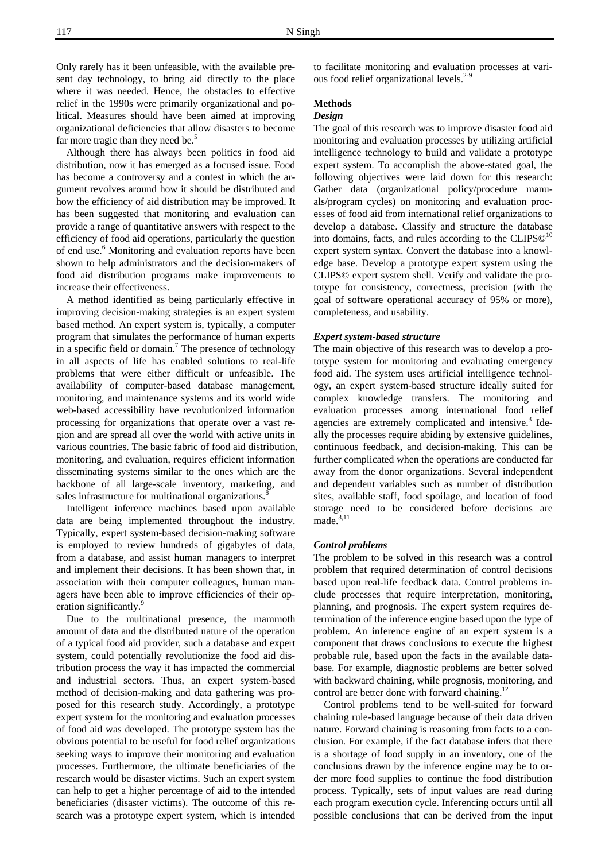Only rarely has it been unfeasible, with the available present day technology, to bring aid directly to the place where it was needed. Hence, the obstacles to effective relief in the 1990s were primarily organizational and political. Measures should have been aimed at improving organizational deficiencies that allow disasters to become far more tragic than they need be.<sup>5</sup>

 Although there has always been politics in food aid distribution, now it has emerged as a focused issue. Food has become a controversy and a contest in which the argument revolves around how it should be distributed and how the efficiency of aid distribution may be improved. It has been suggested that monitoring and evaluation can provide a range of quantitative answers with respect to the efficiency of food aid operations, particularly the question of end use.<sup>6</sup> Monitoring and evaluation reports have been shown to help administrators and the decision-makers of food aid distribution programs make improvements to increase their effectiveness.

 A method identified as being particularly effective in improving decision-making strategies is an expert system based method. An expert system is, typically, a computer program that simulates the performance of human experts in a specific field or domain.<sup>7</sup> The presence of technology in all aspects of life has enabled solutions to real-life problems that were either difficult or unfeasible. The availability of computer-based database management, monitoring, and maintenance systems and its world wide web-based accessibility have revolutionized information processing for organizations that operate over a vast region and are spread all over the world with active units in various countries. The basic fabric of food aid distribution, monitoring, and evaluation, requires efficient information disseminating systems similar to the ones which are the backbone of all large-scale inventory, marketing, and sales infrastructure for multinational organizations.<sup>8</sup>

 Intelligent inference machines based upon available data are being implemented throughout the industry. Typically, expert system-based decision-making software is employed to review hundreds of gigabytes of data, from a database, and assist human managers to interpret and implement their decisions. It has been shown that, in association with their computer colleagues, human managers have been able to improve efficiencies of their operation significantly.<sup>5</sup>

 Due to the multinational presence, the mammoth amount of data and the distributed nature of the operation of a typical food aid provider, such a database and expert system, could potentially revolutionize the food aid distribution process the way it has impacted the commercial and industrial sectors. Thus, an expert system-based method of decision-making and data gathering was proposed for this research study. Accordingly, a prototype expert system for the monitoring and evaluation processes of food aid was developed. The prototype system has the obvious potential to be useful for food relief organizations seeking ways to improve their monitoring and evaluation processes. Furthermore, the ultimate beneficiaries of the research would be disaster victims. Such an expert system can help to get a higher percentage of aid to the intended beneficiaries (disaster victims). The outcome of this research was a prototype expert system, which is intended

to facilitate monitoring and evaluation processes at various food relief organizational levels. $2-9$ 

# **Methods**

# *Design*

The goal of this research was to improve disaster food aid monitoring and evaluation processes by utilizing artificial intelligence technology to build and validate a prototype expert system. To accomplish the above-stated goal, the following objectives were laid down for this research: Gather data (organizational policy/procedure manuals/program cycles) on monitoring and evaluation processes of food aid from international relief organizations to develop a database. Classify and structure the database into domains, facts, and rules according to the  $CLIPS@<sup>10</sup>$ expert system syntax. Convert the database into a knowledge base. Develop a prototype expert system using the CLIPS© expert system shell. Verify and validate the prototype for consistency, correctness, precision (with the goal of software operational accuracy of 95% or more), completeness, and usability.

#### *Expert system-based structure*

The main objective of this research was to develop a prototype system for monitoring and evaluating emergency food aid. The system uses artificial intelligence technology, an expert system-based structure ideally suited for complex knowledge transfers. The monitoring and evaluation processes among international food relief agencies are extremely complicated and intensive.<sup>3</sup> Ideally the processes require abiding by extensive guidelines, continuous feedback, and decision-making. This can be further complicated when the operations are conducted far away from the donor organizations. Several independent and dependent variables such as number of distribution sites, available staff, food spoilage, and location of food storage need to be considered before decisions are  $made.<sup>3,11</sup>$ 

#### *Control problems*

The problem to be solved in this research was a control problem that required determination of control decisions based upon real-life feedback data. Control problems include processes that require interpretation, monitoring, planning, and prognosis. The expert system requires determination of the inference engine based upon the type of problem. An inference engine of an expert system is a component that draws conclusions to execute the highest probable rule, based upon the facts in the available database. For example, diagnostic problems are better solved with backward chaining, while prognosis, monitoring, and control are better done with forward chaining.<sup>12</sup>

 Control problems tend to be well-suited for forward chaining rule-based language because of their data driven nature. Forward chaining is reasoning from facts to a conclusion. For example, if the fact database infers that there is a shortage of food supply in an inventory, one of the conclusions drawn by the inference engine may be to order more food supplies to continue the food distribution process. Typically, sets of input values are read during each program execution cycle. Inferencing occurs until all possible conclusions that can be derived from the input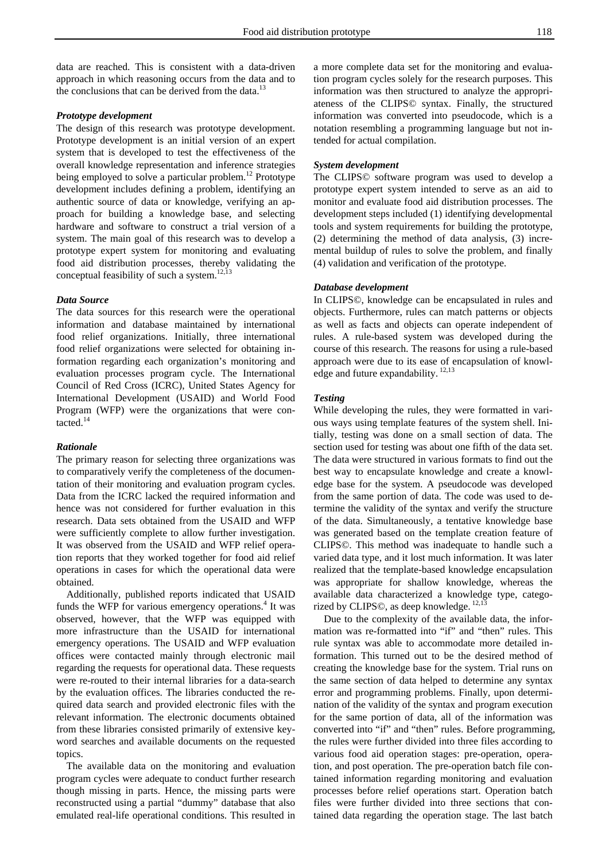data are reached. This is consistent with a data-driven approach in which reasoning occurs from the data and to the conclusions that can be derived from the data. $13$ 

#### *Prototype development*

The design of this research was prototype development. Prototype development is an initial version of an expert system that is developed to test the effectiveness of the overall knowledge representation and inference strategies being employed to solve a particular problem.<sup>12</sup> Prototype development includes defining a problem, identifying an authentic source of data or knowledge, verifying an approach for building a knowledge base, and selecting hardware and software to construct a trial version of a system. The main goal of this research was to develop a prototype expert system for monitoring and evaluating food aid distribution processes, thereby validating the conceptual feasibility of such a system.<sup>12,13</sup>

#### *Data Source*

The data sources for this research were the operational information and database maintained by international food relief organizations. Initially, three international food relief organizations were selected for obtaining information regarding each organization's monitoring and evaluation processes program cycle. The International Council of Red Cross (ICRC), United States Agency for International Development (USAID) and World Food Program (WFP) were the organizations that were contacted.<sup>14</sup>

## *Rationale*

The primary reason for selecting three organizations was to comparatively verify the completeness of the documentation of their monitoring and evaluation program cycles. Data from the ICRC lacked the required information and hence was not considered for further evaluation in this research. Data sets obtained from the USAID and WFP were sufficiently complete to allow further investigation. It was observed from the USAID and WFP relief operation reports that they worked together for food aid relief operations in cases for which the operational data were obtained.

 Additionally, published reports indicated that USAID funds the WFP for various emergency operations.<sup>4</sup> It was observed, however, that the WFP was equipped with more infrastructure than the USAID for international emergency operations. The USAID and WFP evaluation offices were contacted mainly through electronic mail regarding the requests for operational data. These requests were re-routed to their internal libraries for a data-search by the evaluation offices. The libraries conducted the required data search and provided electronic files with the relevant information. The electronic documents obtained from these libraries consisted primarily of extensive keyword searches and available documents on the requested topics.

 The available data on the monitoring and evaluation program cycles were adequate to conduct further research though missing in parts. Hence, the missing parts were reconstructed using a partial "dummy" database that also emulated real-life operational conditions. This resulted in

a more complete data set for the monitoring and evaluation program cycles solely for the research purposes. This information was then structured to analyze the appropriateness of the CLIPS© syntax. Finally, the structured information was converted into pseudocode, which is a notation resembling a programming language but not intended for actual compilation.

## *System development*

The CLIPS© software program was used to develop a prototype expert system intended to serve as an aid to monitor and evaluate food aid distribution processes. The development steps included (1) identifying developmental tools and system requirements for building the prototype, (2) determining the method of data analysis, (3) incremental buildup of rules to solve the problem, and finally (4) validation and verification of the prototype.

## *Database development*

In CLIPS©, knowledge can be encapsulated in rules and objects. Furthermore, rules can match patterns or objects as well as facts and objects can operate independent of rules. A rule-based system was developed during the course of this research. The reasons for using a rule-based approach were due to its ease of encapsulation of knowledge and future expandability.<sup>12,13</sup>

# *Testing*

While developing the rules, they were formatted in various ways using template features of the system shell. Initially, testing was done on a small section of data. The section used for testing was about one fifth of the data set. The data were structured in various formats to find out the best way to encapsulate knowledge and create a knowledge base for the system. A pseudocode was developed from the same portion of data. The code was used to determine the validity of the syntax and verify the structure of the data. Simultaneously, a tentative knowledge base was generated based on the template creation feature of CLIPS©. This method was inadequate to handle such a varied data type, and it lost much information. It was later realized that the template-based knowledge encapsulation was appropriate for shallow knowledge, whereas the available data characterized a knowledge type, categorized by CLIPS©, as deep knowledge. 12,13

 Due to the complexity of the available data, the information was re-formatted into "if" and "then" rules. This rule syntax was able to accommodate more detailed information. This turned out to be the desired method of creating the knowledge base for the system. Trial runs on the same section of data helped to determine any syntax error and programming problems. Finally, upon determination of the validity of the syntax and program execution for the same portion of data, all of the information was converted into "if" and "then" rules. Before programming, the rules were further divided into three files according to various food aid operation stages: pre-operation, operation, and post operation. The pre-operation batch file contained information regarding monitoring and evaluation processes before relief operations start. Operation batch files were further divided into three sections that contained data regarding the operation stage. The last batch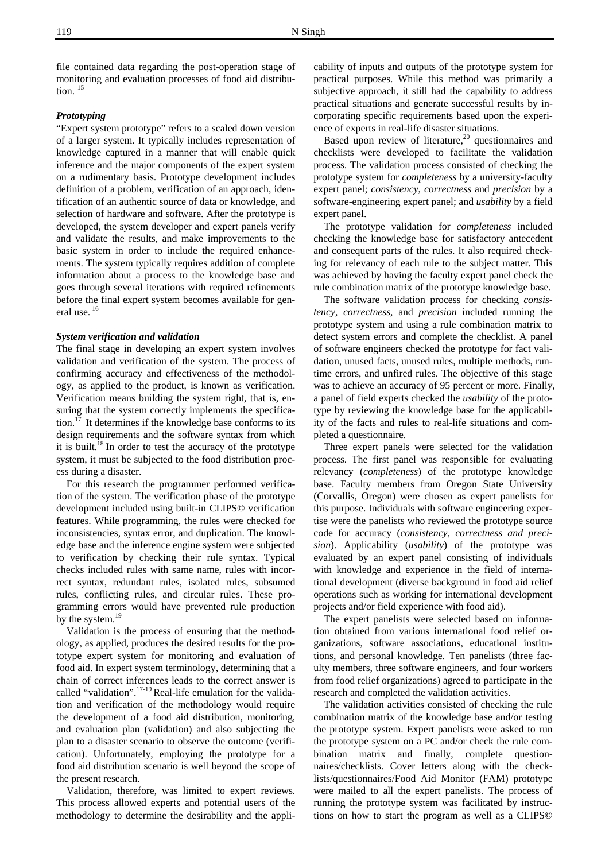file contained data regarding the post-operation stage of monitoring and evaluation processes of food aid distribution.  $15$ 

#### *Prototyping*

"Expert system prototype" refers to a scaled down version of a larger system. It typically includes representation of knowledge captured in a manner that will enable quick inference and the major components of the expert system on a rudimentary basis. Prototype development includes definition of a problem, verification of an approach, identification of an authentic source of data or knowledge, and selection of hardware and software. After the prototype is developed, the system developer and expert panels verify and validate the results, and make improvements to the basic system in order to include the required enhancements. The system typically requires addition of complete information about a process to the knowledge base and goes through several iterations with required refinements before the final expert system becomes available for general use.<sup>16</sup>

#### *System verification and validation*

The final stage in developing an expert system involves validation and verification of the system. The process of confirming accuracy and effectiveness of the methodology, as applied to the product, is known as verification. Verification means building the system right, that is, ensuring that the system correctly implements the specification. $17$  It determines if the knowledge base conforms to its design requirements and the software syntax from which it is built.<sup>18</sup> In order to test the accuracy of the prototype system, it must be subjected to the food distribution process during a disaster.

 For this research the programmer performed verification of the system. The verification phase of the prototype development included using built-in CLIPS© verification features. While programming, the rules were checked for inconsistencies, syntax error, and duplication. The knowledge base and the inference engine system were subjected to verification by checking their rule syntax. Typical checks included rules with same name, rules with incorrect syntax, redundant rules, isolated rules, subsumed rules, conflicting rules, and circular rules. These programming errors would have prevented rule production by the system.<sup>19</sup>

 Validation is the process of ensuring that the methodology, as applied, produces the desired results for the prototype expert system for monitoring and evaluation of food aid. In expert system terminology, determining that a chain of correct inferences leads to the correct answer is called "validation".<sup>17-19</sup> Real-life emulation for the validation and verification of the methodology would require the development of a food aid distribution, monitoring, and evaluation plan (validation) and also subjecting the plan to a disaster scenario to observe the outcome (verification). Unfortunately, employing the prototype for a food aid distribution scenario is well beyond the scope of the present research.

 Validation, therefore, was limited to expert reviews. This process allowed experts and potential users of the methodology to determine the desirability and the appli-

cability of inputs and outputs of the prototype system for practical purposes. While this method was primarily a subjective approach, it still had the capability to address practical situations and generate successful results by incorporating specific requirements based upon the experience of experts in real-life disaster situations.

Based upon review of literature, $^{20}$  questionnaires and checklists were developed to facilitate the validation process. The validation process consisted of checking the prototype system for *completeness* by a university-faculty expert panel; *consistency*, *correctness* and *precision* by a software-engineering expert panel; and *usability* by a field expert panel.

 The prototype validation for *completeness* included checking the knowledge base for satisfactory antecedent and consequent parts of the rules. It also required checking for relevancy of each rule to the subject matter. This was achieved by having the faculty expert panel check the rule combination matrix of the prototype knowledge base.

 The software validation process for checking *consistency*, *correctness*, and *precision* included running the prototype system and using a rule combination matrix to detect system errors and complete the checklist. A panel of software engineers checked the prototype for fact validation, unused facts, unused rules, multiple methods, runtime errors, and unfired rules. The objective of this stage was to achieve an accuracy of 95 percent or more. Finally, a panel of field experts checked the *usability* of the prototype by reviewing the knowledge base for the applicability of the facts and rules to real-life situations and completed a questionnaire.

 Three expert panels were selected for the validation process. The first panel was responsible for evaluating relevancy (*completeness*) of the prototype knowledge base. Faculty members from Oregon State University (Corvallis, Oregon) were chosen as expert panelists for this purpose. Individuals with software engineering expertise were the panelists who reviewed the prototype source code for accuracy (*consistency, correctness and precision*). Applicability (*usability*) of the prototype was evaluated by an expert panel consisting of individuals with knowledge and experience in the field of international development (diverse background in food aid relief operations such as working for international development projects and/or field experience with food aid).

 The expert panelists were selected based on information obtained from various international food relief organizations, software associations, educational institutions, and personal knowledge. Ten panelists (three faculty members, three software engineers, and four workers from food relief organizations) agreed to participate in the research and completed the validation activities.

 The validation activities consisted of checking the rule combination matrix of the knowledge base and/or testing the prototype system. Expert panelists were asked to run the prototype system on a PC and/or check the rule combination matrix and finally, complete questionnaires/checklists. Cover letters along with the checklists/questionnaires/Food Aid Monitor (FAM) prototype were mailed to all the expert panelists. The process of running the prototype system was facilitated by instructions on how to start the program as well as a CLIPS©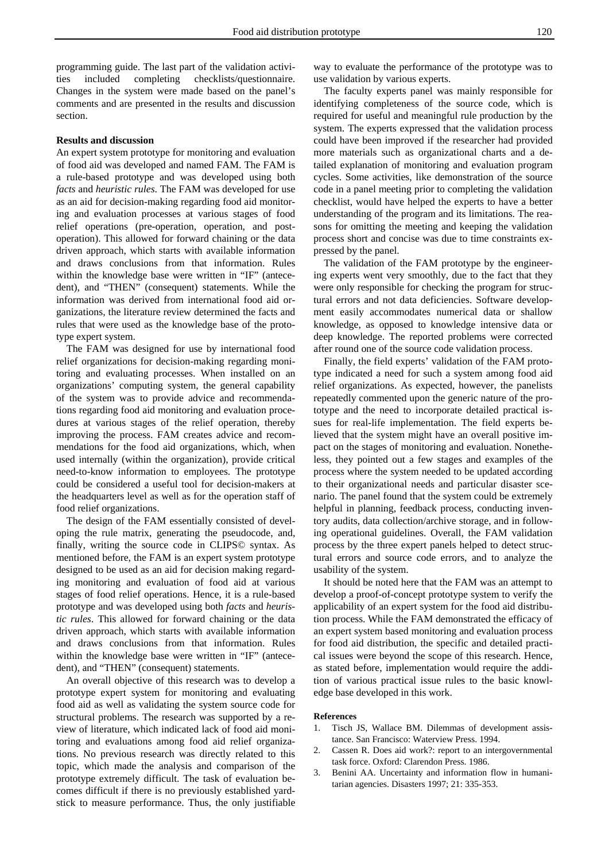programming guide. The last part of the validation activities included completing checklists/questionnaire. Changes in the system were made based on the panel's comments and are presented in the results and discussion section.

#### **Results and discussion**

An expert system prototype for monitoring and evaluation of food aid was developed and named FAM. The FAM is a rule-based prototype and was developed using both *facts* and *heuristic rules*. The FAM was developed for use as an aid for decision-making regarding food aid monitoring and evaluation processes at various stages of food relief operations (pre-operation, operation, and postoperation). This allowed for forward chaining or the data driven approach, which starts with available information and draws conclusions from that information. Rules within the knowledge base were written in "IF" (antecedent), and "THEN" (consequent) statements. While the information was derived from international food aid organizations, the literature review determined the facts and rules that were used as the knowledge base of the prototype expert system.

 The FAM was designed for use by international food relief organizations for decision-making regarding monitoring and evaluating processes. When installed on an organizations' computing system, the general capability of the system was to provide advice and recommendations regarding food aid monitoring and evaluation procedures at various stages of the relief operation, thereby improving the process. FAM creates advice and recommendations for the food aid organizations, which, when used internally (within the organization), provide critical need-to-know information to employees. The prototype could be considered a useful tool for decision-makers at the headquarters level as well as for the operation staff of food relief organizations.

 The design of the FAM essentially consisted of developing the rule matrix, generating the pseudocode, and, finally, writing the source code in CLIPS© syntax. As mentioned before, the FAM is an expert system prototype designed to be used as an aid for decision making regarding monitoring and evaluation of food aid at various stages of food relief operations. Hence, it is a rule-based prototype and was developed using both *facts* and *heuristic rules*. This allowed for forward chaining or the data driven approach, which starts with available information and draws conclusions from that information. Rules within the knowledge base were written in "IF" (antecedent), and "THEN" (consequent) statements.

 An overall objective of this research was to develop a prototype expert system for monitoring and evaluating food aid as well as validating the system source code for structural problems. The research was supported by a review of literature, which indicated lack of food aid monitoring and evaluations among food aid relief organizations. No previous research was directly related to this topic, which made the analysis and comparison of the prototype extremely difficult. The task of evaluation becomes difficult if there is no previously established yardstick to measure performance. Thus, the only justifiable

way to evaluate the performance of the prototype was to use validation by various experts.

 The faculty experts panel was mainly responsible for identifying completeness of the source code, which is required for useful and meaningful rule production by the system. The experts expressed that the validation process could have been improved if the researcher had provided more materials such as organizational charts and a detailed explanation of monitoring and evaluation program cycles. Some activities, like demonstration of the source code in a panel meeting prior to completing the validation checklist, would have helped the experts to have a better understanding of the program and its limitations. The reasons for omitting the meeting and keeping the validation process short and concise was due to time constraints expressed by the panel.

 The validation of the FAM prototype by the engineering experts went very smoothly, due to the fact that they were only responsible for checking the program for structural errors and not data deficiencies. Software development easily accommodates numerical data or shallow knowledge, as opposed to knowledge intensive data or deep knowledge. The reported problems were corrected after round one of the source code validation process.

 Finally, the field experts' validation of the FAM prototype indicated a need for such a system among food aid relief organizations. As expected, however, the panelists repeatedly commented upon the generic nature of the prototype and the need to incorporate detailed practical issues for real-life implementation. The field experts believed that the system might have an overall positive impact on the stages of monitoring and evaluation. Nonetheless, they pointed out a few stages and examples of the process where the system needed to be updated according to their organizational needs and particular disaster scenario. The panel found that the system could be extremely helpful in planning, feedback process, conducting inventory audits, data collection/archive storage, and in following operational guidelines. Overall, the FAM validation process by the three expert panels helped to detect structural errors and source code errors, and to analyze the usability of the system.

 It should be noted here that the FAM was an attempt to develop a proof-of-concept prototype system to verify the applicability of an expert system for the food aid distribution process. While the FAM demonstrated the efficacy of an expert system based monitoring and evaluation process for food aid distribution, the specific and detailed practical issues were beyond the scope of this research. Hence, as stated before, implementation would require the addition of various practical issue rules to the basic knowledge base developed in this work.

#### **References**

- 1. Tisch JS, Wallace BM. Dilemmas of development assistance. San Francisco: Waterview Press. 1994.
- 2. Cassen R. Does aid work?: report to an intergovernmental task force. Oxford: Clarendon Press. 1986.
- 3. Benini AA. Uncertainty and information flow in humanitarian agencies. Disasters 1997; 21: 335-353.